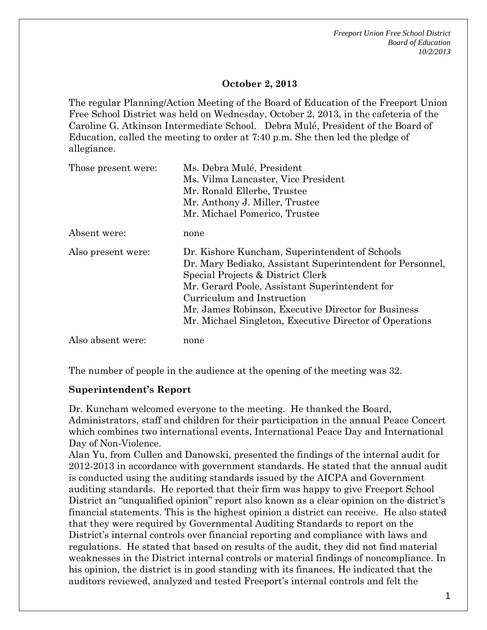*Freeport Union Free School District Board of Education 10/2/2013*

### **October 2, 2013**

The regular Planning/Action Meeting of the Board of Education of the Freeport Union Free School District was held on Wednesday, October 2, 2013, in the cafeteria of the Caroline G. Atkinson Intermediate School. Debra Mulé, President of the Board of Education, called the meeting to order at 7:40 p.m. She then led the pledge of allegiance.

| Those present were: | Ms. Debra Mulé, President                                 |
|---------------------|-----------------------------------------------------------|
|                     | Ms. Vilma Lancaster, Vice President                       |
|                     | Mr. Ronald Ellerbe, Trustee                               |
|                     | Mr. Anthony J. Miller, Trustee                            |
|                     | Mr. Michael Pomerico, Trustee                             |
| Absent were:        | none                                                      |
| Also present were:  | Dr. Kishore Kuncham, Superintendent of Schools            |
|                     | Dr. Mary Bediako, Assistant Superintendent for Personnel, |
|                     | Special Projects & District Clerk                         |
|                     | Mr. Gerard Poole, Assistant Superintendent for            |
|                     | Curriculum and Instruction                                |
|                     | Mr. James Robinson, Executive Director for Business       |
|                     | Mr. Michael Singleton, Executive Director of Operations   |
| Also absent were:   | none                                                      |

The number of people in the audience at the opening of the meeting was 32.

#### **Superintendent's Report**

Dr. Kuncham welcomed everyone to the meeting. He thanked the Board, Administrators, staff and children for their participation in the annual Peace Concert which combines two international events, International Peace Day and International Day of Non-Violence.

Alan Yu, from Cullen and Danowski, presented the findings of the internal audit for 2012-2013 in accordance with government standards. He stated that the annual audit is conducted using the auditing standards issued by the AICPA and Government auditing standards. He reported that their firm was happy to give Freeport School District an "unqualified opinion" report also known as a clear opinion on the district's financial statements. This is the highest opinion a district can receive. He also stated that they were required by Governmental Auditing Standards to report on the District's internal controls over financial reporting and compliance with laws and regulations. He stated that based on results of the audit, they did not find material weaknesses in the District internal controls or material findings of noncompliance. In his opinion, the district is in good standing with its finances. He indicated that the auditors reviewed, analyzed and tested Freeport's internal controls and felt the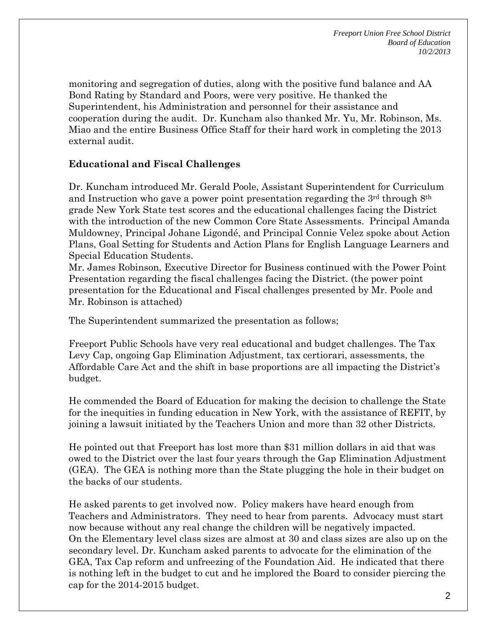monitoring and segregation of duties, along with the positive fund balance and AA Bond Rating by Standard and Poors, were very positive. He thanked the Superintendent, his Administration and personnel for their assistance and cooperation during the audit. Dr. Kuncham also thanked Mr. Yu, Mr. Robinson, Ms. Miao and the entire Business Office Staff for their hard work in completing the 2013 external audit.

## **Educational and Fiscal Challenges**

Dr. Kuncham introduced Mr. Gerald Poole, Assistant Superintendent for Curriculum and Instruction who gave a power point presentation regarding the 3rd through 8th grade New York State test scores and the educational challenges facing the District with the introduction of the new Common Core State Assessments. Principal Amanda Muldowney, Principal Johane Ligondé, and Principal Connie Velez spoke about Action Plans, Goal Setting for Students and Action Plans for English Language Learners and Special Education Students.

Mr. James Robinson, Executive Director for Business continued with the Power Point Presentation regarding the fiscal challenges facing the District. (the power point presentation for the Educational and Fiscal challenges presented by Mr. Poole and Mr. Robinson is attached)

The Superintendent summarized the presentation as follows;

Freeport Public Schools have very real educational and budget challenges. The Tax Levy Cap, ongoing Gap Elimination Adjustment, tax certiorari, assessments, the Affordable Care Act and the shift in base proportions are all impacting the District's budget.

He commended the Board of Education for making the decision to challenge the State for the inequities in funding education in New York, with the assistance of REFIT, by joining a lawsuit initiated by the Teachers Union and more than 32 other Districts.

He pointed out that Freeport has lost more than \$31 million dollars in aid that was owed to the District over the last four years through the Gap Elimination Adjustment (GEA). The GEA is nothing more than the State plugging the hole in their budget on the backs of our students.

He asked parents to get involved now. Policy makers have heard enough from Teachers and Administrators. They need to hear from parents. Advocacy must start now because without any real change the children will be negatively impacted. On the Elementary level class sizes are almost at 30 and class sizes are also up on the secondary level. Dr. Kuncham asked parents to advocate for the elimination of the GEA, Tax Cap reform and unfreezing of the Foundation Aid. He indicated that there is nothing left in the budget to cut and he implored the Board to consider piercing the cap for the 2014-2015 budget.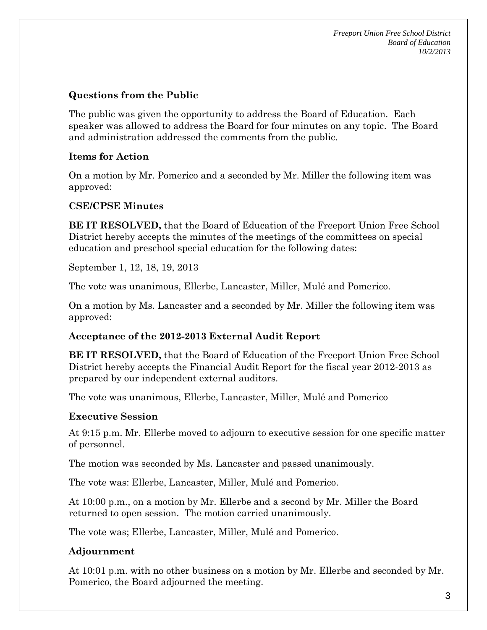*Freeport Union Free School District Board of Education 10/2/2013*

## **Questions from the Public**

The public was given the opportunity to address the Board of Education. Each speaker was allowed to address the Board for four minutes on any topic. The Board and administration addressed the comments from the public.

## **Items for Action**

On a motion by Mr. Pomerico and a seconded by Mr. Miller the following item was approved:

## **CSE/CPSE Minutes**

**BE IT RESOLVED,** that the Board of Education of the Freeport Union Free School District hereby accepts the minutes of the meetings of the committees on special education and preschool special education for the following dates:

September 1, 12, 18, 19, 2013

The vote was unanimous, Ellerbe, Lancaster, Miller, Mulé and Pomerico.

On a motion by Ms. Lancaster and a seconded by Mr. Miller the following item was approved:

## **Acceptance of the 2012-2013 External Audit Report**

**BE IT RESOLVED,** that the Board of Education of the Freeport Union Free School District hereby accepts the Financial Audit Report for the fiscal year 2012-2013 as prepared by our independent external auditors.

The vote was unanimous, Ellerbe, Lancaster, Miller, Mulé and Pomerico

# **Executive Session**

At 9:15 p.m. Mr. Ellerbe moved to adjourn to executive session for one specific matter of personnel.

The motion was seconded by Ms. Lancaster and passed unanimously.

The vote was: Ellerbe, Lancaster, Miller, Mulé and Pomerico.

At 10:00 p.m., on a motion by Mr. Ellerbe and a second by Mr. Miller the Board returned to open session. The motion carried unanimously.

The vote was; Ellerbe, Lancaster, Miller, Mulé and Pomerico.

# **Adjournment**

At 10:01 p.m. with no other business on a motion by Mr. Ellerbe and seconded by Mr. Pomerico, the Board adjourned the meeting.